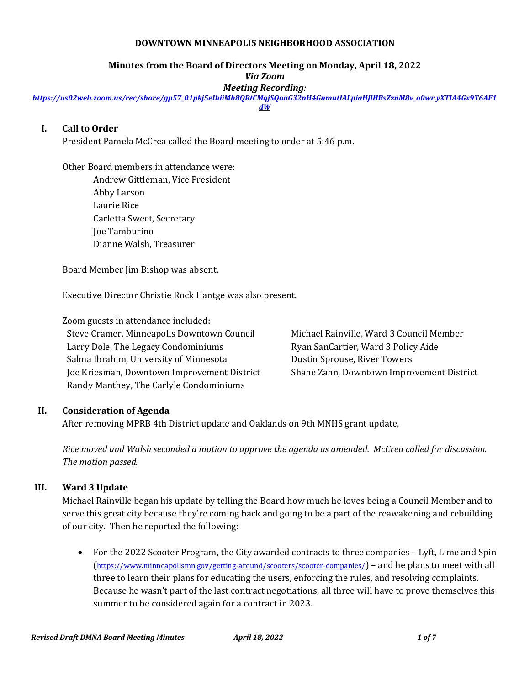#### **DOWNTOWN MINNEAPOLIS NEIGHBORHOOD ASSOCIATION**

#### **Minutes from the Board of Directors Meeting on Monday, April 18, 2022**

*Via Zoom*

*Meeting Recording:*

*[https://us02web.zoom.us/rec/share/gp57\\_01pkj5eIhiiMh8QRtCMqjSQoaG32nH4GnmutIALpiaHJlHBsZznM8v\\_o0wr.yXTIA4Gx9T6AF1](https://us02web.zoom.us/rec/share/gp57_01pkj5eIhiiMh8QRtCMqjSQoaG32nH4GnmutIALpiaHJlHBsZznM8v_o0wr.yXTIA4Gx9T6AF1dW) [dW](https://us02web.zoom.us/rec/share/gp57_01pkj5eIhiiMh8QRtCMqjSQoaG32nH4GnmutIALpiaHJlHBsZznM8v_o0wr.yXTIA4Gx9T6AF1dW)*

## **I. Call to Order**

President Pamela McCrea called the Board meeting to order at 5:46 p.m.

Other Board members in attendance were: Andrew Gittleman, Vice President Abby Larson Laurie Rice Carletta Sweet, Secretary Joe Tamburino Dianne Walsh, Treasurer

Board Member Jim Bishop was absent.

Executive Director Christie Rock Hantge was also present.

Zoom guests in attendance included: Steve Cramer, Minneapolis Downtown Council Larry Dole, The Legacy Condominiums Salma Ibrahim, University of Minnesota Joe Kriesman, Downtown Improvement District Randy Manthey, The Carlyle Condominiums

Michael Rainville, Ward 3 Council Member Ryan SanCartier, Ward 3 Policy Aide Dustin Sprouse, River Towers Shane Zahn, Downtown Improvement District

## **II. Consideration of Agenda**

After removing MPRB 4th District update and Oaklands on 9th MNHS grant update,

*Rice moved and Walsh seconded a motion to approve the agenda as amended. McCrea called for discussion. The motion passed.*

## **III. Ward 3 Update**

Michael Rainville began his update by telling the Board how much he loves being a Council Member and to serve this great city because they're coming back and going to be a part of the reawakening and rebuilding of our city. Then he reported the following:

• For the 2022 Scooter Program, the City awarded contracts to three companies – Lyft, Lime and Spin (<https://www.minneapolismn.gov/getting-around/scooters/scooter-companies/>) – and he plans to meet with all three to learn their plans for educating the users, enforcing the rules, and resolving complaints. Because he wasn't part of the last contract negotiations, all three will have to prove themselves this summer to be considered again for a contract in 2023.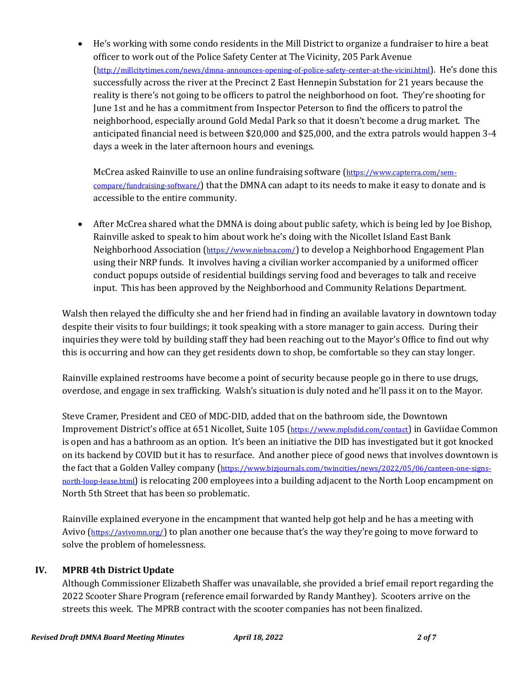• He's working with some condo residents in the Mill District to organize a fundraiser to hire a beat officer to work out of the Police Safety Center at The Vicinity, 205 Park Avenue (<http://millcitytimes.com/news/dmna-announces-opening-of-police-safety-center-at-the-vicini.html>). He's done this successfully across the river at the Precinct 2 East Hennepin Substation for 21 years because the reality is there's not going to be officers to patrol the neighborhood on foot. They're shooting for June 1st and he has a commitment from Inspector Peterson to find the officers to patrol the neighborhood, especially around Gold Medal Park so that it doesn't become a drug market. The anticipated financial need is between \$20,000 and \$25,000, and the extra patrols would happen 3-4 days a week in the later afternoon hours and evenings.

McCrea asked Rainville to use an online fundraising software ([https://www.capterra.com/sem](https://www.capterra.com/sem-compare/fundraising-software/)[compare/fundraising-software/](https://www.capterra.com/sem-compare/fundraising-software/)) that the DMNA can adapt to its needs to make it easy to donate and is accessible to the entire community.

• After McCrea shared what the DMNA is doing about public safety, which is being led by Joe Bishop, Rainville asked to speak to him about work he's doing with the Nicollet Island East Bank Neighborhood Association (<https://www.niebna.com/>) to develop a Neighborhood Engagement Plan using their NRP funds. It involves having a civilian worker accompanied by a uniformed officer conduct popups outside of residential buildings serving food and beverages to talk and receive input. This has been approved by the Neighborhood and Community Relations Department.

Walsh then relayed the difficulty she and her friend had in finding an available lavatory in downtown today despite their visits to four buildings; it took speaking with a store manager to gain access. During their inquiries they were told by building staff they had been reaching out to the Mayor's Office to find out why this is occurring and how can they get residents down to shop, be comfortable so they can stay longer.

Rainville explained restrooms have become a point of security because people go in there to use drugs, overdose, and engage in sex trafficking. Walsh's situation is duly noted and he'll pass it on to the Mayor.

Steve Cramer, President and CEO of MDC-DID, added that on the bathroom side, the Downtown Improvement District's office at 651 Nicollet, Suite 105 (<https://www.mplsdid.com/contact>) in Gaviidae Common is open and has a bathroom as an option. It's been an initiative the DID has investigated but it got knocked on its backend by COVID but it has to resurface. And another piece of good news that involves downtown is the fact that a Golden Valley company ([https://www.bizjournals.com/twincities/news/2022/05/06/canteen-one-signs](https://www.bizjournals.com/twincities/news/2022/05/06/canteen-one-signs-north-loop-lease.html)[north-loop-lease.html](https://www.bizjournals.com/twincities/news/2022/05/06/canteen-one-signs-north-loop-lease.html)) is relocating 200 employees into a building adjacent to the North Loop encampment on North 5th Street that has been so problematic.

Rainville explained everyone in the encampment that wanted help got help and he has a meeting with Avivo (<https://avivomn.org/>) to plan another one because that's the way they're going to move forward to solve the problem of homelessness.

# **IV. MPRB 4th District Update**

Although Commissioner Elizabeth Shaffer was unavailable, she provided a brief email report regarding the 2022 Scooter Share Program (reference email forwarded by Randy Manthey). Scooters arrive on the streets this week. The MPRB contract with the scooter companies has not been finalized.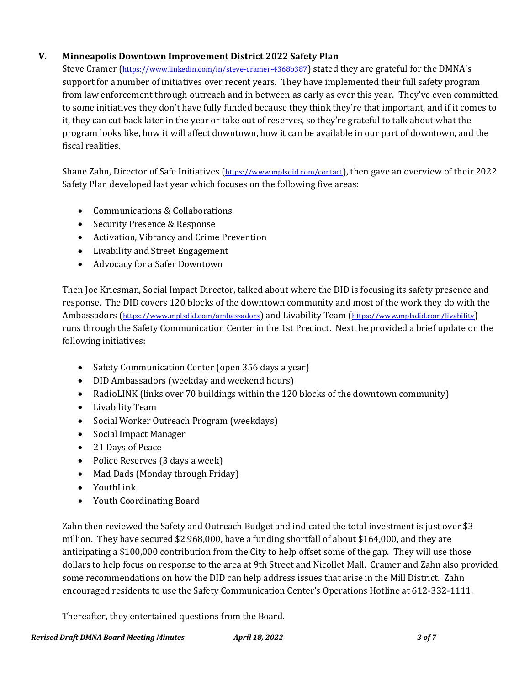# **V. Minneapolis Downtown Improvement District 2022 Safety Plan**

Steve Cramer (<https://www.linkedin.com/in/steve-cramer-4368b387>) stated they are grateful for the DMNA's support for a number of initiatives over recent years. They have implemented their full safety program from law enforcement through outreach and in between as early as ever this year. They've even committed to some initiatives they don't have fully funded because they think they're that important, and if it comes to it, they can cut back later in the year or take out of reserves, so they're grateful to talk about what the program looks like, how it will affect downtown, how it can be available in our part of downtown, and the fiscal realities.

Shane Zahn, Director of Safe Initiatives (<https://www.mplsdid.com/contact>), then gave an overview of their 2022 Safety Plan developed last year which focuses on the following five areas:

- Communications & Collaborations
- Security Presence & Response
- Activation, Vibrancy and Crime Prevention
- Livability and Street Engagement
- Advocacy for a Safer Downtown

Then Joe Kriesman, Social Impact Director, talked about where the DID is focusing its safety presence and response. The DID covers 120 blocks of the downtown community and most of the work they do with the Ambassadors (<https://www.mplsdid.com/ambassadors>) and Livability Team (<https://www.mplsdid.com/livability>) runs through the Safety Communication Center in the 1st Precinct. Next, he provided a brief update on the following initiatives:

- Safety Communication Center (open 356 days a year)
- DID Ambassadors (weekday and weekend hours)
- RadioLINK (links over 70 buildings within the 120 blocks of the downtown community)
- Livability Team
- Social Worker Outreach Program (weekdays)
- Social Impact Manager
- 21 Days of Peace
- Police Reserves (3 days a week)
- Mad Dads (Monday through Friday)
- YouthLink
- Youth Coordinating Board

Zahn then reviewed the Safety and Outreach Budget and indicated the total investment is just over \$3 million. They have secured \$2,968,000, have a funding shortfall of about \$164,000, and they are anticipating a \$100,000 contribution from the City to help offset some of the gap. They will use those dollars to help focus on response to the area at 9th Street and Nicollet Mall. Cramer and Zahn also provided some recommendations on how the DID can help address issues that arise in the Mill District. Zahn encouraged residents to use the Safety Communication Center's Operations Hotline at 612-332-1111.

Thereafter, they entertained questions from the Board.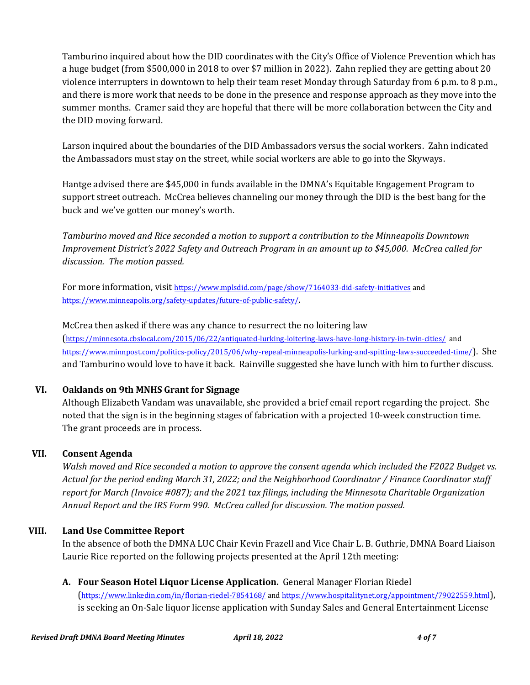Tamburino inquired about how the DID coordinates with the City's Office of Violence Prevention which has a huge budget (from \$500,000 in 2018 to over \$7 million in 2022). Zahn replied they are getting about 20 violence interrupters in downtown to help their team reset Monday through Saturday from 6 p.m. to 8 p.m., and there is more work that needs to be done in the presence and response approach as they move into the summer months. Cramer said they are hopeful that there will be more collaboration between the City and the DID moving forward.

Larson inquired about the boundaries of the DID Ambassadors versus the social workers. Zahn indicated the Ambassadors must stay on the street, while social workers are able to go into the Skyways.

Hantge advised there are \$45,000 in funds available in the DMNA's Equitable Engagement Program to support street outreach. McCrea believes channeling our money through the DID is the best bang for the buck and we've gotten our money's worth.

*Tamburino moved and Rice seconded a motion to support a contribution to the Minneapolis Downtown Improvement District's 2022 Safety and Outreach Program in an amount up to \$45,000. McCrea called for discussion. The motion passed.*

For more information, visit <https://www.mplsdid.com/page/show/7164033-did-safety-initiatives> and <https://www.minneapolis.org/safety-updates/future-of-public-safety/>.

McCrea then asked if there was any chance to resurrect the no loitering law (<https://minnesota.cbslocal.com/2015/06/22/antiquated-lurking-loitering-laws-have-long-history-in-twin-cities/>and <https://www.minnpost.com/politics-policy/2015/06/why-repeal-minneapolis-lurking-and-spitting-laws-succeeded-time/>). She and Tamburino would love to have it back. Rainville suggested she have lunch with him to further discuss.

# **VI. Oaklands on 9th MNHS Grant for Signage**

Although Elizabeth Vandam was unavailable, she provided a brief email report regarding the project. She noted that the sign is in the beginning stages of fabrication with a projected 10-week construction time. The grant proceeds are in process.

## **VII. Consent Agenda**

*Walsh moved and Rice seconded a motion to approve the consent agenda which included the F2022 Budget vs. Actual for the period ending March 31, 2022; and the Neighborhood Coordinator / Finance Coordinator staff report for March (Invoice #087); and the 2021 tax filings, including the Minnesota Charitable Organization Annual Report and the IRS Form 990. McCrea called for discussion. The motion passed.*

## **VIII. Land Use Committee Report**

In the absence of both the DMNA LUC Chair Kevin Frazell and Vice Chair L. B. Guthrie, DMNA Board Liaison Laurie Rice reported on the following projects presented at the April 12th meeting:

# **A. Four Season Hotel Liquor License Application.** General Manager Florian Riedel

(<https://www.linkedin.com/in/florian-riedel-7854168/> and<https://www.hospitalitynet.org/appointment/79022559.html>), is seeking an On-Sale liquor license application with Sunday Sales and General Entertainment License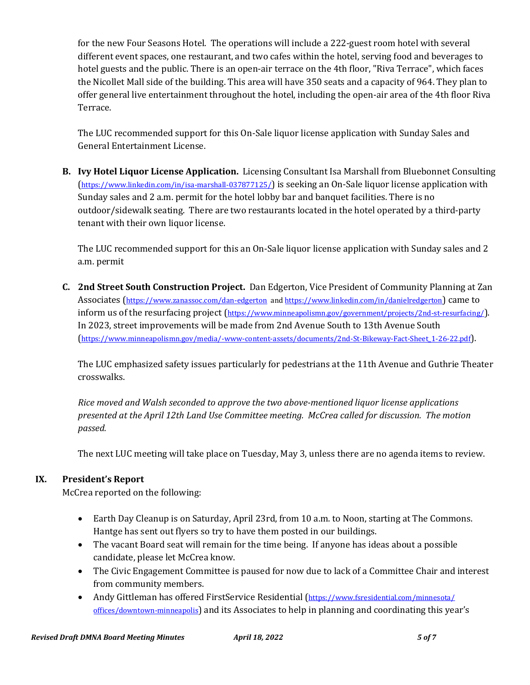for the new Four Seasons Hotel. The operations will include a 222-guest room hotel with several different event spaces, one restaurant, and two cafes within the hotel, serving food and beverages to hotel guests and the public. There is an open-air terrace on the 4th floor, "Riva Terrace", which faces the Nicollet Mall side of the building. This area will have 350 seats and a capacity of 964. They plan to offer general live entertainment throughout the hotel, including the open-air area of the 4th floor Riva Terrace.

The LUC recommended support for this On-Sale liquor license application with Sunday Sales and General Entertainment License.

**B. Ivy Hotel Liquor License Application.** Licensing Consultant Isa Marshall from Bluebonnet Consulting (<https://www.linkedin.com/in/isa-marshall-037877125/>) is seeking an On-Sale liquor license application with Sunday sales and 2 a.m. permit for the hotel lobby bar and banquet facilities. There is no outdoor/sidewalk seating. There are two restaurants located in the hotel operated by a third-party tenant with their own liquor license.

The LUC recommended support for this an On-Sale liquor license application with Sunday sales and 2 a.m. permit

**C. 2nd Street South Construction Project.** Dan Edgerton, Vice President of Community Planning at Zan Associates (<https://www.zanassoc.com/dan-edgerton>an[d https://www.linkedin.com/in/danielredgerton](https://www.linkedin.com/in/danielredgerton)) came to inform us of the resurfacing project (<https://www.minneapolismn.gov/government/projects/2nd-st-resurfacing/>). In 2023, street improvements will be made from 2nd Avenue South to 13th Avenue South ([https://www.minneapolismn.gov/media/-www-content-assets/documents/2nd-St-Bikeway-Fact-Sheet\\_1-26-22.pdf](https://www.minneapolismn.gov/media/-www-content-assets/documents/2nd-St-Bikeway-Fact-Sheet_1-26-22.pdf)).

The LUC emphasized safety issues particularly for pedestrians at the 11th Avenue and Guthrie Theater crosswalks.

*Rice moved and Walsh seconded to approve the two above-mentioned liquor license applications presented at the April 12th Land Use Committee meeting. McCrea called for discussion. The motion passed.*

The next LUC meeting will take place on Tuesday, May 3, unless there are no agenda items to review.

# **IX. President's Report**

McCrea reported on the following:

- Earth Day Cleanup is on Saturday, April 23rd, from 10 a.m. to Noon, starting at The Commons. Hantge has sent out flyers so try to have them posted in our buildings.
- The vacant Board seat will remain for the time being. If anyone has ideas about a possible candidate, please let McCrea know.
- The Civic Engagement Committee is paused for now due to lack of a Committee Chair and interest from community members.
- Andy Gittleman has offered FirstService Residential ([https://www.fsresidential.com/minnesota/](https://www.fsresidential.com/minnesota/offices/downtown-minneapolis) [offices/downtown-minneapolis](https://www.fsresidential.com/minnesota/offices/downtown-minneapolis)) and its Associates to help in planning and coordinating this year's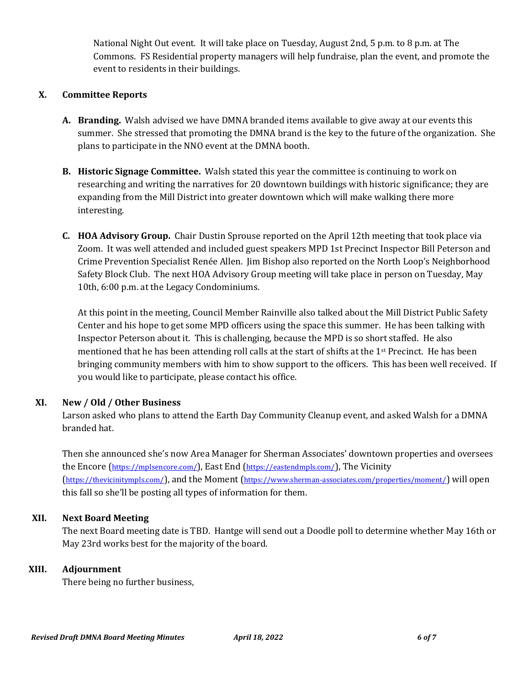National Night Out event. It will take place on Tuesday, August 2nd, 5 p.m. to 8 p.m. at The Commons. FS Residential property managers will help fundraise, plan the event, and promote the event to residents in their buildings.

#### **X. Committee Reports**

- **A. Branding.** Walsh advised we have DMNA branded items available to give away at our events this summer. She stressed that promoting the DMNA brand is the key to the future of the organization. She plans to participate in the NNO event at the DMNA booth.
- **B. Historic Signage Committee.** Walsh stated this year the committee is continuing to work on researching and writing the narratives for 20 downtown buildings with historic significance; they are expanding from the Mill District into greater downtown which will make walking there more interesting.
- **C. HOA Advisory Group.** Chair Dustin Sprouse reported on the April 12th meeting that took place via Zoom. It was well attended and included guest speakers MPD 1st Precinct Inspector Bill Peterson and Crime Prevention Specialist Renée Allen. Jim Bishop also reported on the North Loop's Neighborhood Safety Block Club. The next HOA Advisory Group meeting will take place in person on Tuesday, May 10th, 6:00 p.m. at the Legacy Condominiums.

At this point in the meeting, Council Member Rainville also talked about the Mill District Public Safety Center and his hope to get some MPD officers using the space this summer. He has been talking with Inspector Peterson about it. This is challenging, because the MPD is so short staffed. He also mentioned that he has been attending roll calls at the start of shifts at the 1st Precinct. He has been bringing community members with him to show support to the officers. This has been well received. If you would like to participate, please contact his office.

## **XI. New / Old / Other Business**

Larson asked who plans to attend the Earth Day Community Cleanup event, and asked Walsh for a DMNA branded hat.

Then she announced she's now Area Manager for Sherman Associates' downtown properties and oversees the Encore (<https://mplsencore.com/>), East End (<https://eastendmpls.com/>), The Vicinity (<https://thevicinitympls.com/>), and the Moment (<https://www.sherman-associates.com/properties/moment/>) will open this fall so she'll be posting all types of information for them.

## **XII. Next Board Meeting**

The next Board meeting date is TBD. Hantge will send out a Doodle poll to determine whether May 16th or May 23rd works best for the majority of the board.

#### **XIII. Adjournment**

There being no further business,